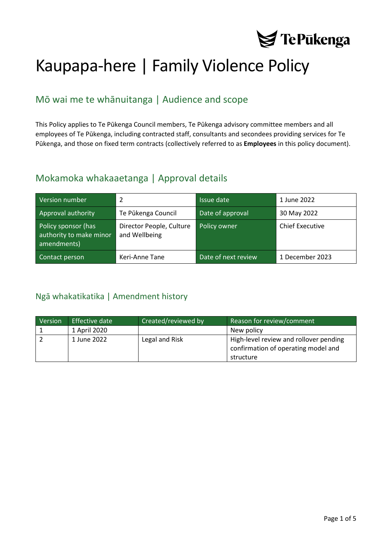

# Kaupapa-here | Family Violence Policy

# Mō wai me te whānuitanga | Audience and scope

This Policy applies to Te Pūkenga Council members, Te Pūkenga advisory committee members and all employees of Te Pūkenga, including contracted staff, consultants and secondees providing services for Te Pūkenga, and those on fixed term contracts (collectively referred to as **Employees** in this policy document).

## Mokamoka whakaaetanga | Approval details

| Version number                                                | $\mathcal{P}$                             | Issue date          | 1 June 2022            |
|---------------------------------------------------------------|-------------------------------------------|---------------------|------------------------|
| Approval authority                                            | Te Pūkenga Council                        | Date of approval    | 30 May 2022            |
| Policy sponsor (has<br>authority to make minor<br>amendments) | Director People, Culture<br>and Wellbeing | Policy owner        | <b>Chief Executive</b> |
| Contact person                                                | Keri-Anne Tane                            | Date of next review | 1 December 2023        |

## <span id="page-0-0"></span>Ngā whakatikatika | Amendment history

| Version | Effective date | Created/reviewed by | Reason for review/comment                                                     |
|---------|----------------|---------------------|-------------------------------------------------------------------------------|
|         | 1 April 2020   |                     | New policy                                                                    |
|         | 1 June 2022    | Legal and Risk      | High-level review and rollover pending<br>confirmation of operating model and |
|         |                |                     | structure                                                                     |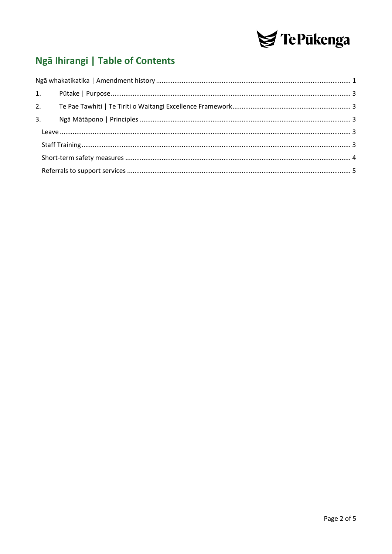

# Ngā Ihirangi | Table of Contents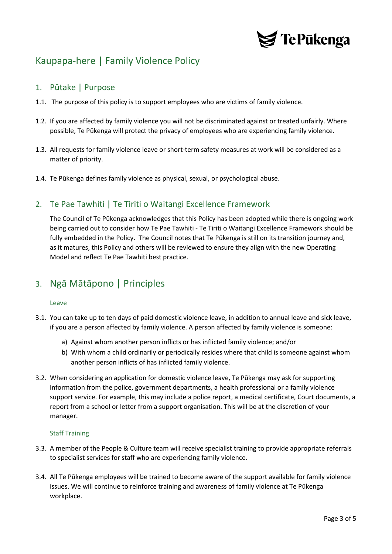

# Kaupapa-here | Family Violence Policy

## <span id="page-2-0"></span>1. Pūtake | Purpose

- 1.1. The purpose of this policy is to support employees who are victims of family violence.
- 1.2. If you are affected by family violence you will not be discriminated against or treated unfairly. Where possible, Te Pūkenga will protect the privacy of employees who are experiencing family violence.
- 1.3. All requests for family violence leave or short-term safety measures at work will be considered as a matter of priority.
- 1.4. Te Pūkenga defines family violence as physical, sexual, or psychological abuse.

## <span id="page-2-1"></span>2. Te Pae Tawhiti | Te Tiriti o Waitangi Excellence Framework

The Council of Te Pūkenga acknowledges that this Policy has been adopted while there is ongoing work being carried out to consider how Te Pae Tawhiti - Te Tiriti o Waitangi Excellence Framework should be fully embedded in the Policy. The Council notes that Te Pūkenga is still on its transition journey and, as it matures, this Policy and others will be reviewed to ensure they align with the new Operating Model and reflect Te Pae Tawhiti best practice.

## <span id="page-2-2"></span>3. Ngā Mātāpono | Principles

#### <span id="page-2-3"></span>Leave

- 3.1. You can take up to ten days of paid domestic violence leave, in addition to annual leave and sick leave, if you are a person affected by family violence. A person affected by family violence is someone:
	- a) Against whom another person inflicts or has inflicted family violence; and/or
	- b) With whom a child ordinarily or periodically resides where that child is someone against whom another person inflicts of has inflicted family violence.
- 3.2. When considering an application for domestic violence leave, Te Pūkenga may ask for supporting information from the police, government departments, a health professional or a family violence support service. For example, this may include a police report, a medical certificate, Court documents, a report from a school or letter from a support organisation. This will be at the discretion of your manager.

#### <span id="page-2-4"></span>Staff Training

- 3.3. A member of the People & Culture team will receive specialist training to provide appropriate referrals to specialist services for staff who are experiencing family violence.
- 3.4. All Te Pūkenga employees will be trained to become aware of the support available for family violence issues. We will continue to reinforce training and awareness of family violence at Te Pūkenga workplace.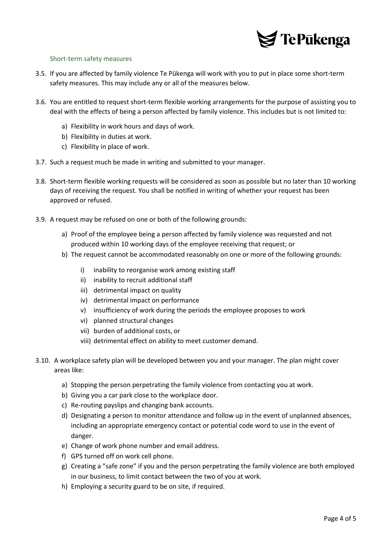

### <span id="page-3-0"></span>Short-term safety measures

- 3.5. If you are affected by family violence Te Pūkenga will work with you to put in place some short-term safety measures. This may include any or all of the measures below.
- 3.6. You are entitled to request short-term flexible working arrangements for the purpose of assisting you to deal with the effects of being a person affected by family violence. This includes but is not limited to:
	- a) Flexibility in work hours and days of work.
	- b) Flexibility in duties at work.
	- c) Flexibility in place of work.
- 3.7. Such a request much be made in writing and submitted to your manager.
- 3.8. Short-term flexible working requests will be considered as soon as possible but no later than 10 working days of receiving the request. You shall be notified in writing of whether your request has been approved or refused.
- 3.9. A request may be refused on one or both of the following grounds:
	- a) Proof of the employee being a person affected by family violence was requested and not produced within 10 working days of the employee receiving that request; or
	- b) The request cannot be accommodated reasonably on one or more of the following grounds:
		- i) inability to reorganise work among existing staff
		- ii) inability to recruit additional staff
		- iii) detrimental impact on quality
		- iv) detrimental impact on performance
		- v) insufficiency of work during the periods the employee proposes to work
		- vi) planned structural changes
		- vii) burden of additional costs, or
		- viii) detrimental effect on ability to meet customer demand.
- 3.10. A workplace safety plan will be developed between you and your manager. The plan might cover areas like:
	- a) Stopping the person perpetrating the family violence from contacting you at work.
	- b) Giving you a car park close to the workplace door.
	- c) Re-routing payslips and changing bank accounts.
	- d) Designating a person to monitor attendance and follow up in the event of unplanned absences, including an appropriate emergency contact or potential code word to use in the event of danger.
	- e) Change of work phone number and email address.
	- f) GPS turned off on work cell phone.
	- g) Creating a "safe zone" if you and the person perpetrating the family violence are both employed in our business, to limit contact between the two of you at work.
	- h) Employing a security guard to be on site, if required.